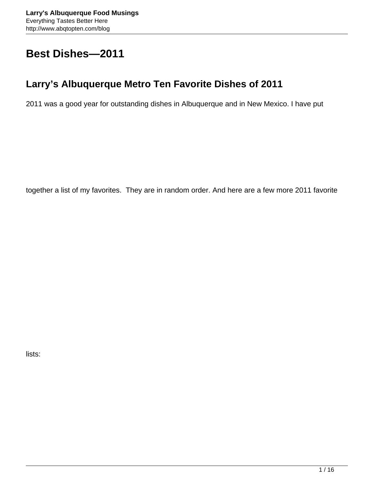# **Best Dishes—2011**

## **Larry's Albuquerque Metro Ten Favorite Dishes of 2011**

2011 was a good year for outstanding dishes in Albuquerque and in New Mexico. I have put

together a list of my favorites. They are in random order. And here are a few more 2011 favorite

lists: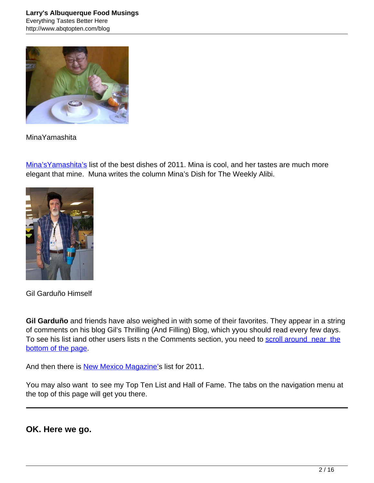

#### MinaYamashita

Mina's Yamashita's list of the best dishes of 2011. Mina is cool, and her tastes are much more elegant that mine. Muna writes the column Mina's Dish for The Weekly Alibi.



Gil Garduño Himself

**Gil Garduño** and friends have also weighed in with some of their favorites. They appear in a string of comments on his blog Gil's Thrilling (And Filling) Blog, which yyou should read every few days. To see his list iand other users lists n the Comments section, you need to [scroll around near the](http://nmgastronome.com/blog/?page_id=432#comment-24693) [bottom of the page.](http://nmgastronome.com/blog/?page_id=432#comment-24693)

And then there is **[New Mexico Magazine's](http://nmgastronome.com/blog/?p=11468) list for 2011.** 

You may also want to see my Top Ten List and Hall of Fame. The tabs on the navigation menu at the top of this page will get you there.

**OK. Here we go.**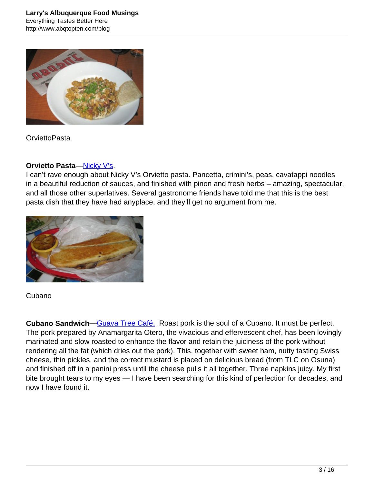

**OrviettoPasta** 

### **Orvietto Pasta—[Nicky V's](http://www.abqtopten.com/blog/nicky-vs-neighborhood-pizzeria/).**

I can't rave enough about Nicky V's Orvietto pasta. Pancetta, crimini's, peas, cavatappi noodles in a beautiful reduction of sauces, and finished with pinon and fresh herbs – amazing, spectacular, and all those other superlatives. Several gastronome friends have told me that this is the best pasta dish that they have had anyplace, and they'll get no argument from me.



### Cubano

**Cubano Sandwich**—[Guava Tree Café,](http://www.abqtopten.com/blog/guava-tree-cafe/) Roast pork is the soul of a Cubano. It must be perfect. The pork prepared by Anamargarita Otero, the vivacious and effervescent chef, has been lovingly marinated and slow roasted to enhance the flavor and retain the juiciness of the pork without rendering all the fat (which dries out the pork). This, together with sweet ham, nutty tasting Swiss cheese, thin pickles, and the correct mustard is placed on delicious bread (from TLC on Osuna) and finished off in a panini press until the cheese pulls it all together. Three napkins juicy. My first bite brought tears to my eyes — I have been searching for this kind of perfection for decades, and now I have found it.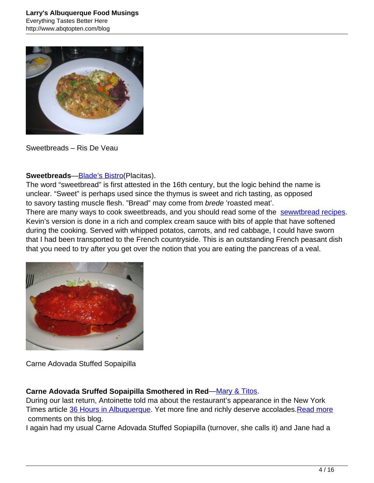

Sweetbreads – Ris De Veau

#### **Sweetbreads**—[Blade's Bistro\(](http://www.abqtopten.com/blog/blades-bistro/)Placitas).

The word "sweetbread" is first attested in the 16th century, but the logic behind the name is unclear. "Sweet" is perhaps used since the thymus is sweet and rich tasting, as opposed to savory tasting muscle flesh. "Bread" may come from brede 'roasted meat'. There are many ways to cook sweetbreads, and you should read some of the [sewwtbread recipes](http://www.recipesecrets.net/forums/ask-cooking-questions/29449-veal-sweetbreads-ris-de-veau-recipe-needed-please.html). Kevin's version is done in a rich and complex cream sauce with bits of apple that have softened during the cooking. Served with whipped potatos, carrots, and red cabbage, I could have sworn that I had been transported to the French countryside. This is an outstanding French peasant dish that you need to try after you get over the notion that you are eating the pancreas of a veal.



Carne Adovada Stuffed Sopaipilla

#### **Carne Adovada Sruffed Sopaipilla Smothered in Red**—[Mary & Titos](http://www.abqtopten.com/blog/mary-titos/).

During our last return, Antoinette told ma about the restaurant's appearance in the New York Times article [36 Hours in Albuquerque.](http://travel.nytimes.com/2011/10/23/travel/36-hours-in-albuquerque.html?hpw) Yet more fine and richly deserve accolades. Read more comments on this blog.

I again had my usual Carne Adovada Stuffed Sopiapilla (turnover, she calls it) and Jane had a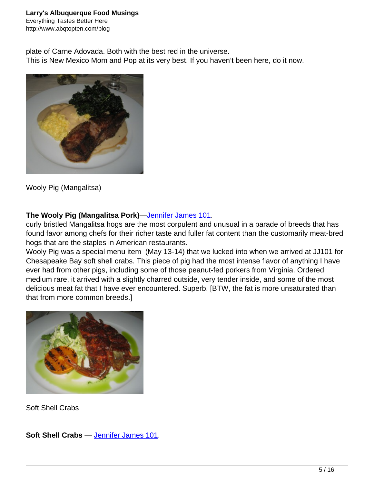plate of Carne Adovada. Both with the best red in the universe. This is New Mexico Mom and Pop at its very best. If you haven't been here, do it now.



Wooly Pig (Mangalitsa)

## **The Wooly Pig (Mangalitsa Pork)**—[Jennifer James 101](http://www.abqtopten.com/blog/jennifer-james-101/).

curly bristled Mangalitsa hogs are the most corpulent and unusual in a parade of breeds that has found favor among chefs for their richer taste and fuller fat content than the customarily meat-bred hogs that are the staples in American restaurants.

Wooly Pig was a special menu item (May 13-14) that we lucked into when we arrived at JJ101 for Chesapeake Bay soft shell crabs. This piece of pig had the most intense flavor of anything I have ever had from other pigs, including some of those peanut-fed porkers from Virginia. Ordered medium rare, it arrived with a slightly charred outside, very tender inside, and some of the most delicious meat fat that I have ever encountered. Superb. [BTW, the fat is more unsaturated than that from more common breeds.]



Soft Shell Crabs

**Soft Shell Crabs** — [Jennifer James 101.](http://www.abqtopten.com/blog/jennifer-james-101/)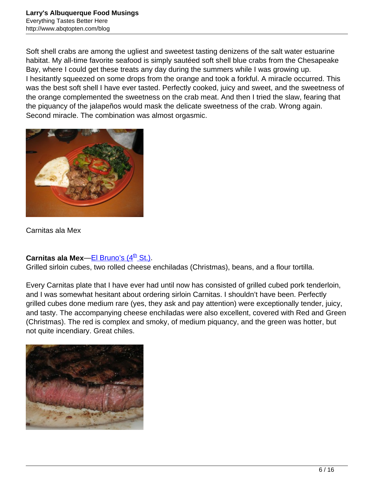Soft shell crabs are among the ugliest and sweetest tasting denizens of the salt water estuarine habitat. My all-time favorite seafood is simply sautéed soft shell blue crabs from the Chesapeake Bay, where I could get these treats any day during the summers while I was growing up. I hesitantly squeezed on some drops from the orange and took a forkful. A miracle occurred. This was the best soft shell I have ever tasted. Perfectly cooked, juicy and sweet, and the sweetness of the orange complemented the sweetness on the crab meat. And then I tried the slaw, fearing that the piquancy of the jalapeños would mask the delicate sweetness of the crab. Wrong again. Second miracle. The combination was almost orgasmic.



Carnitas ala Mex

### **Carnitas ala Mex[—El Bruno's \(4](http://www.abqtopten.com/blog/el-brunos-restaurante-y-cantina-abq/)<sup>[th](http://www.abqtopten.com/blog/el-brunos-restaurante-y-cantina-abq/)</sup> [St.\).](http://www.abqtopten.com/blog/el-brunos-restaurante-y-cantina-abq/)**

Grilled sirloin cubes, two rolled cheese enchiladas (Christmas), beans, and a flour tortilla.

Every Carnitas plate that I have ever had until now has consisted of grilled cubed pork tenderloin, and I was somewhat hesitant about ordering sirloin Carnitas. I shouldn't have been. Perfectly grilled cubes done medium rare (yes, they ask and pay attention) were exceptionally tender, juicy, and tasty. The accompanying cheese enchiladas were also excellent, covered with Red and Green (Christmas). The red is complex and smoky, of medium piquancy, and the green was hotter, but not quite incendiary. Great chiles.

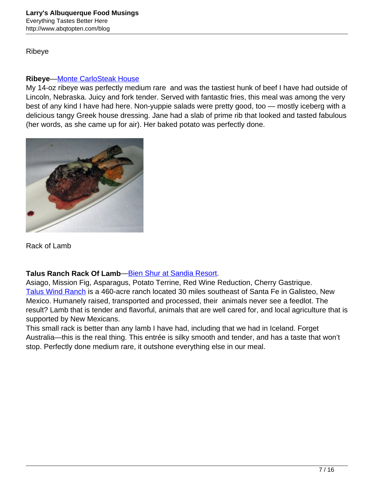Ribeye

#### **Ribeye**—[Monte CarloSteak House](http://www.abqtopten.com/blog/monte-carlo-steak-house/)

My 14-oz ribeye was perfectly medium rare and was the tastiest hunk of beef I have had outside of Lincoln, Nebraska. Juicy and fork tender. Served with fantastic fries, this meal was among the very best of any kind I have had here. Non-yuppie salads were pretty good, too — mostly iceberg with a delicious tangy Greek house dressing. Jane had a slab of prime rib that looked and tasted fabulous (her words, as she came up for air). Her baked potato was perfectly done.



Rack of Lamb

### **Talus Ranch Rack Of Lamb**—[Bien Shur at Sandia Resort](http://www.abqtopten.com/blog/bien-shur-restaurant/).

Asiago, Mission Fig, Asparagus, Potato Terrine, Red Wine Reduction, Cherry Gastrique. [Talus Wind Ranch](http://taluswindranch.com/) is a 460-acre ranch located 30 miles southeast of Santa Fe in Galisteo, New Mexico. Humanely raised, transported and processed, their animals never see a feedlot. The result? Lamb that is tender and flavorful, animals that are well cared for, and local agriculture that is supported by New Mexicans.

This small rack is better than any lamb I have had, including that we had in Iceland. Forget Australia—this is the real thing. This entrée is silky smooth and tender, and has a taste that won't stop. Perfectly done medium rare, it outshone everything else in our meal.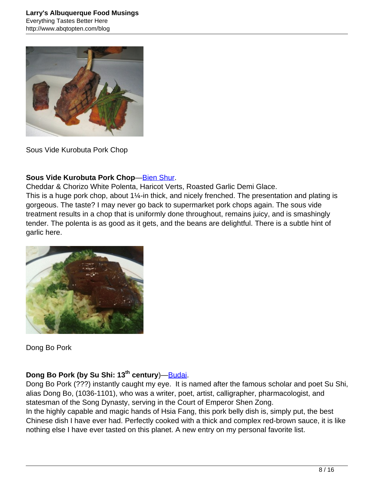

Sous Vide Kurobuta Pork Chop

#### **Sous Vide Kurobuta Pork Chop**[—Bien Shur.](http://www.abqtopten.com/blog/bien-shur-restaurant/)

Cheddar & Chorizo White Polenta, Haricot Verts, Roasted Garlic Demi Glace. This is a huge pork chop, about 1¼-in thick, and nicely frenched. The presentation and plating is gorgeous. The taste? I may never go back to supermarket pork chops again. The sous vide treatment results in a chop that is uniformly done throughout, remains juicy, and is smashingly tender. The polenta is as good as it gets, and the beans are delightful. There is a subtle hint of garlic here.



Dong Bo Pork

## **Dong Bo Pork (by Su Shi: 13th century**)[—Budai](http://www.abqtopten.com/blog/budai-gourmet-chinese/).

Dong Bo Pork (???) instantly caught my eye. It is named after the famous scholar and poet Su Shi, alias Dong Bo, (1036-1101), who was a writer, poet, artist, calligrapher, pharmacologist, and statesman of the Song Dynasty, serving in the Court of Emperor Shen Zong. In the highly capable and magic hands of Hsia Fang, this pork belly dish is, simply put, the best Chinese dish I have ever had. Perfectly cooked with a thick and complex red-brown sauce, it is like nothing else I have ever tasted on this planet. A new entry on my personal favorite list.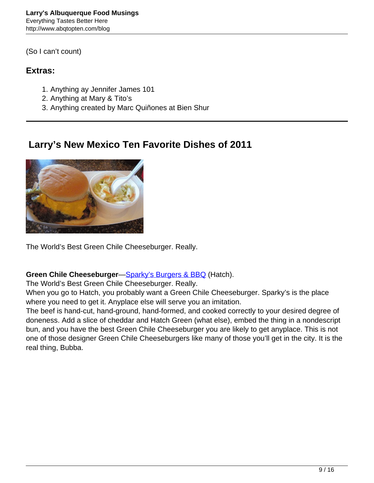(So I can't count)

## **Extras:**

- 1. Anything ay Jennifer James 101
- 2. Anything at Mary & Tito's
- 3. Anything created by Marc Quiñones at Bien Shur

## **Larry's New Mexico Ten Favorite Dishes of 2011**



The World's Best Green Chile Cheeseburger. Really.

### **Green Chile Cheeseburger—[Sparky's Burgers & BBQ](http://www.abqtopten.com/blog/sparkys-burgers-and-bbq/) (Hatch).**

The World's Best Green Chile Cheeseburger. Really.

When you go to Hatch, you probably want a Green Chile Cheeseburger. Sparky's is the place where you need to get it. Anyplace else will serve you an imitation.

The beef is hand-cut, hand-ground, hand-formed, and cooked correctly to your desired degree of doneness. Add a slice of cheddar and Hatch Green (what else), embed the thing in a nondescript bun, and you have the best Green Chile Cheeseburger you are likely to get anyplace. This is not one of those designer Green Chile Cheeseburgers like many of those you'll get in the city. It is the real thing, Bubba.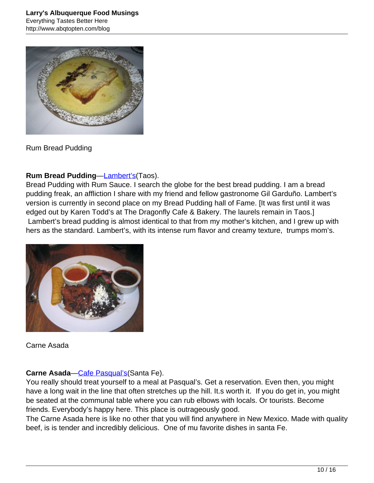

Rum Bread Pudding

## **Rum Bread Pudding—[Lambert's\(](http://www.abqtopten.com/blog/lamberts/)Taos).**

Bread Pudding with Rum Sauce. I search the globe for the best bread pudding. I am a bread pudding freak, an affliction I share with my friend and fellow gastronome Gil Garduño. Lambert's version is currently in second place on my Bread Pudding hall of Fame. [It was first until it was edged out by Karen Todd's at The Dragonfly Cafe & Bakery. The laurels remain in Taos.] Lambert's bread pudding is almost identical to that from my mother's kitchen, and I grew up with hers as the standard. Lambert's, with its intense rum flavor and creamy texture, trumps mom's.



Carne Asada

### **Carne Asada—Cafe Pasqual's (Santa Fe).**

You really should treat yourself to a meal at Pasqual's. Get a reservation. Even then, you might have a long wait in the line that often stretches up the hill. It.s worth it. If you do get in, you might be seated at the communal table where you can rub elbows with locals. Or tourists. Become friends. Everybody's happy here. This place is outrageously good.

The Carne Asada here is like no other that you will find anywhere in New Mexico. Made with quality beef, is is tender and incredibly delicious. One of mu favorite dishes in santa Fe.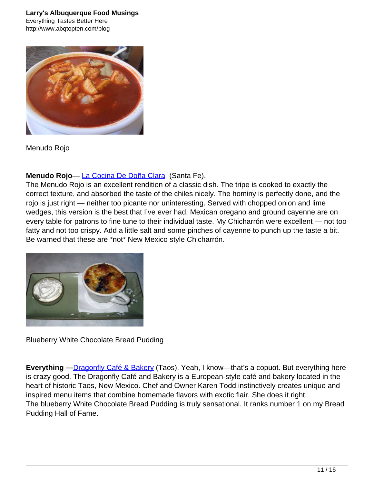

Menudo Rojo

## **Menudo Rojo**— [La Cocina De Doña Clara](http://www.abqtopten.com/blog/la-cocina-de-dona-clara/) (Santa Fe).

The Menudo Rojo is an excellent rendition of a classic dish. The tripe is cooked to exactly the correct texture, and absorbed the taste of the chiles nicely. The hominy is perfectly done, and the rojo is just right — neither too picante nor uninteresting. Served with chopped onion and lime wedges, this version is the best that I've ever had. Mexican oregano and ground cayenne are on every table for patrons to fine tune to their individual taste. My Chicharrón were excellent — not too fatty and not too crispy. Add a little salt and some pinches of cayenne to punch up the taste a bit. Be warned that these are \*not\* New Mexico style Chicharrón.



Blueberry White Chocolate Bread Pudding

**Everything —**[Dragonfly Café & Bakery](http://www.abqtopten.com/blog/dragonfly-cafe-bakery/) (Taos). Yeah, I know—that's a copuot. But everything here is crazy good. The Dragonfly Café and Bakery is a European-style café and bakery located in the heart of historic Taos, New Mexico. Chef and Owner Karen Todd instinctively creates unique and inspired menu items that combine homemade flavors with exotic flair. She does it right. The blueberry White Chocolate Bread Pudding is truly sensational. It ranks number 1 on my Bread Pudding Hall of Fame.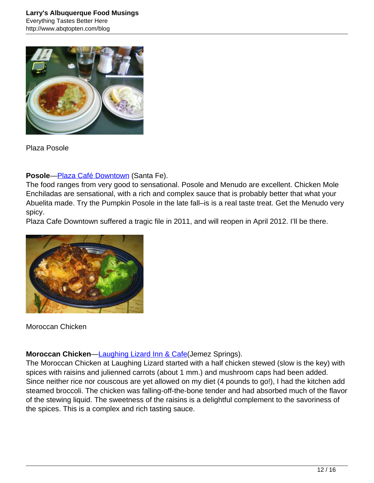

Plaza Posole

### **Posole**—[Plaza Café Downtown](http://www.abqtopten.com/blog/plaza-cafe-downtown/) (Santa Fe).

The food ranges from very good to sensational. Posole and Menudo are excellent. Chicken Mole Enchiladas are sensational, with a rich and complex sauce that is probably better that what your Abuelita made. Try the Pumpkin Posole in the late fall–is is a real taste treat. Get the Menudo very spicy.

Plaza Cafe Downtown suffered a tragic file in 2011, and will reopen in April 2012. I'll be there.



Moroccan Chicken

### **Moroccan Chicken[—Laughing Lizard Inn & Cafe\(](http://www.abqtopten.com/blog/laughing-lizard-inn-cafe/)Jemez Springs).**

The Moroccan Chicken at Laughing Lizard started with a half chicken stewed (slow is the key) with spices with raisins and julienned carrots (about 1 mm.) and mushroom caps had been added. Since neither rice nor couscous are yet allowed on my diet (4 pounds to go!), I had the kitchen add steamed broccoli. The chicken was falling-off-the-bone tender and had absorbed much of the flavor of the stewing liquid. The sweetness of the raisins is a delightful complement to the savoriness of the spices. This is a complex and rich tasting sauce.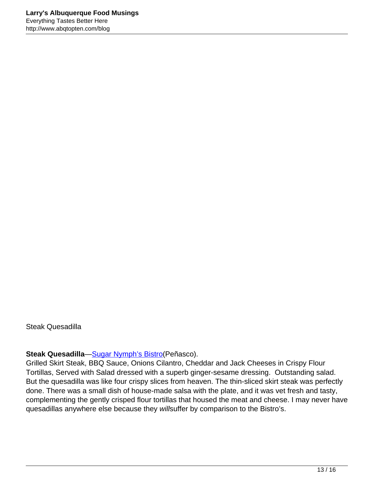Steak Quesadilla

#### **Steak Quesadilla—[Sugar Nymph's Bistro\(](http://www.abqtopten.com/blog/sugar-nymphs-bistro/)Peñasco).**

Grilled Skirt Steak, BBQ Sauce, Onions Cilantro, Cheddar and Jack Cheeses in Crispy Flour Tortillas, Served with Salad dressed with a superb ginger-sesame dressing. Outstanding salad. But the quesadilla was like four crispy slices from heaven. The thin-sliced skirt steak was perfectly done. There was a small dish of house-made salsa with the plate, and it was vet fresh and tasty, complementing the gently crisped flour tortillas that housed the meat and cheese. I may never have quesadillas anywhere else because they willsuffer by comparison to the Bistro's.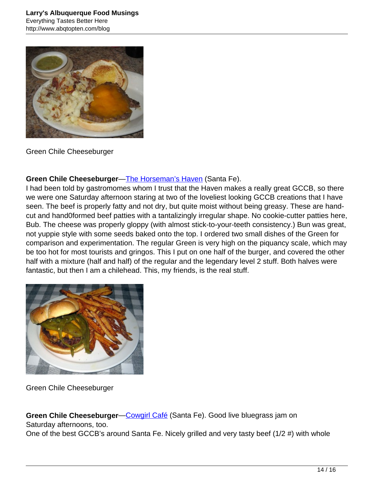

Green Chile Cheeseburger

#### **Green Chile Cheeseburger**—[The Horseman's Haven](http://www.abqtopten.com/blog/horsemans-haven-cafe/) (Santa Fe).

I had been told by gastromomes whom I trust that the Haven makes a really great GCCB, so there we were one Saturday afternoon staring at two of the loveliest looking GCCB creations that I have seen. The beef is properly fatty and not dry, but quite moist without being greasy. These are handcut and hand0formed beef patties with a tantalizingly irregular shape. No cookie-cutter patties here, Bub. The cheese was properly gloppy (with almost stick-to-your-teeth consistency.) Bun was great, not yuppie style with some seeds baked onto the top. I ordered two small dishes of the Green for comparison and experimentation. The regular Green is very high on the piquancy scale, which may be too hot for most tourists and gringos. This I put on one half of the burger, and covered the other half with a mixture (half and half) of the regular and the legendary level 2 stuff. Both halves were fantastic, but then I am a chilehead. This, my friends, is the real stuff.



Green Chile Cheeseburger

**Green Chile Cheeseburger—Cowgirl Café** (Santa Fe). Good live bluegrass jam on Saturday afternoons, too.

One of the best GCCB's around Santa Fe. Nicely grilled and very tasty beef (1/2 #) with whole